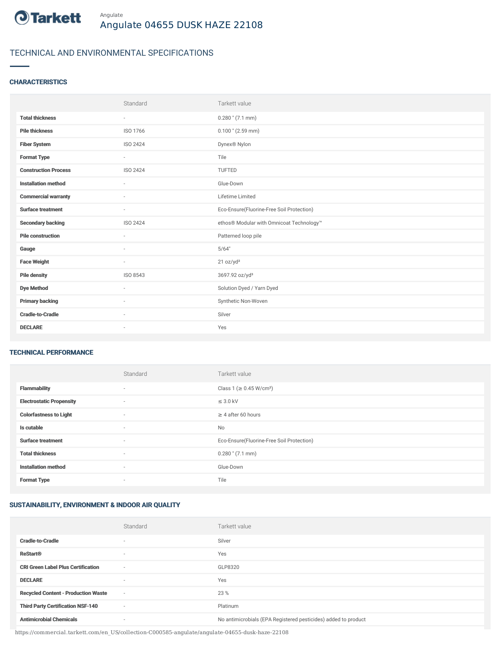

# TECHNICAL AND ENVIRONMENTAL SPECIFICATIONS

# **CHARACTERISTICS**

|                             | Standard | Tarkett value                             |
|-----------------------------|----------|-------------------------------------------|
| <b>Total thickness</b>      | $\sim$   | $0.280$ " (7.1 mm)                        |
| <b>Pile thickness</b>       | ISO 1766 | $0.100$ " (2.59 mm)                       |
| <b>Fiber System</b>         | ISO 2424 | Dynex <sup>®</sup> Nylon                  |
| <b>Format Type</b>          | $\sim$   | Tile                                      |
| <b>Construction Process</b> | ISO 2424 | <b>TUFTED</b>                             |
| <b>Installation method</b>  | $\sim$   | Glue-Down                                 |
| <b>Commercial warranty</b>  | $\sim$   | Lifetime Limited                          |
| <b>Surface treatment</b>    | $\sim$   | Eco-Ensure(Fluorine-Free Soil Protection) |
| <b>Secondary backing</b>    | ISO 2424 | ethos® Modular with Omnicoat Technology™  |
| <b>Pile construction</b>    |          | Patterned loop pile                       |
| Gauge                       |          | 5/64"                                     |
| <b>Face Weight</b>          | $\sim$   | 21 oz/yd <sup>2</sup>                     |
| <b>Pile density</b>         | ISO 8543 | 3697.92 oz/yd <sup>3</sup>                |
| <b>Dye Method</b>           | $\sim$   | Solution Dyed / Yarn Dyed                 |
| <b>Primary backing</b>      | $\sim$   | Synthetic Non-Woven                       |
| <b>Cradle-to-Cradle</b>     | $\sim$   | Silver                                    |
| <b>DECLARE</b>              | $\sim$   | Yes                                       |

### TECHNICAL PERFORMANCE

|                                 | Standard                 | Tarkett value                             |
|---------------------------------|--------------------------|-------------------------------------------|
| <b>Flammability</b>             | $\overline{\phantom{a}}$ | Class 1 (≥ 0.45 W/cm <sup>2</sup> )       |
| <b>Electrostatic Propensity</b> | $\sim$                   | $\leq$ 3.0 kV                             |
| <b>Colorfastness to Light</b>   | $\overline{\phantom{a}}$ | $\geq$ 4 after 60 hours                   |
| Is cutable                      | $\overline{\phantom{a}}$ | <b>No</b>                                 |
| <b>Surface treatment</b>        | $\sim$                   | Eco-Ensure(Fluorine-Free Soil Protection) |
| <b>Total thickness</b>          | $\overline{\phantom{a}}$ | $0.280$ " (7.1 mm)                        |
| <b>Installation method</b>      | $\overline{\phantom{a}}$ | Glue-Down                                 |
| <b>Format Type</b>              | $\overline{\phantom{a}}$ | Tile                                      |

## SUSTAINABILITY, ENVIRONMENT & INDOOR AIR QUALITY

|                                            | Standard                 | Tarkett value                                                  |
|--------------------------------------------|--------------------------|----------------------------------------------------------------|
| <b>Cradle-to-Cradle</b>                    |                          | Silver                                                         |
| <b>ReStart®</b>                            | $\overline{\phantom{a}}$ | Yes                                                            |
| <b>CRI Green Label Plus Certification</b>  | $\overline{\phantom{a}}$ | GLP8320                                                        |
| <b>DECLARE</b>                             | $\overline{\phantom{a}}$ | Yes                                                            |
| <b>Recycled Content - Production Waste</b> | $\sim$                   | 23 %                                                           |
| <b>Third Party Certification NSF-140</b>   | $\overline{\phantom{a}}$ | Platinum                                                       |
| <b>Antimicrobial Chemicals</b>             | ۰                        | No antimicrobials (EPA Registered pesticides) added to product |

https://commercial.tarkett.com/en\_US/collection-C000585-angulate/angulate-04655-dusk-haze-22108